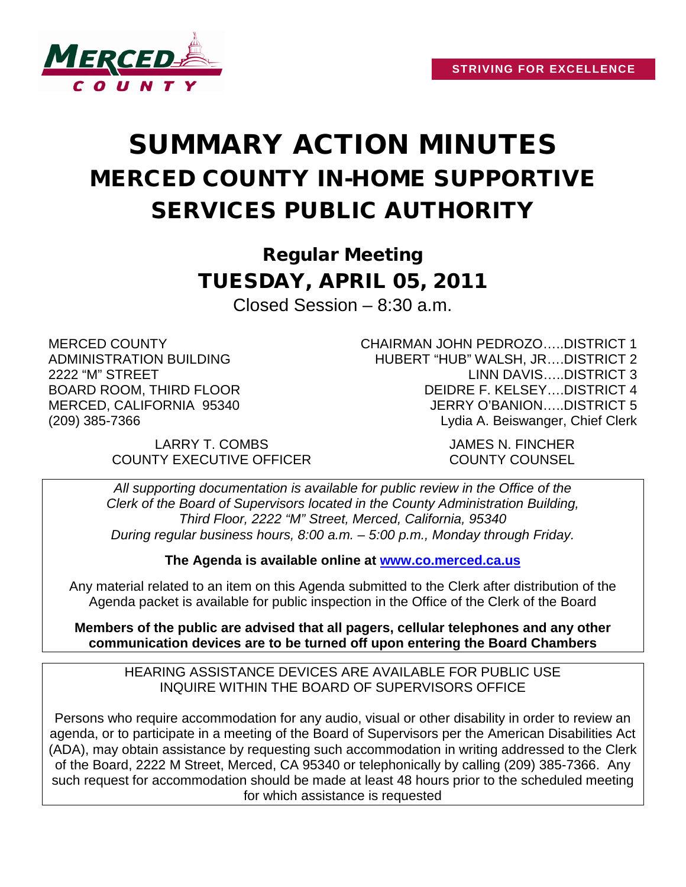

## SUMMARY ACTION MINUTES MERCED COUNTY IN-HOME SUPPORTIVE SERVICES PUBLIC AUTHORITY

Regular Meeting TUESDAY, APRIL 05, 2011

Closed Session – 8:30 a.m.

MERCED COUNTY ADMINISTRATION BUILDING 2222 "M" STREET BOARD ROOM, THIRD FLOOR MERCED, CALIFORNIA 95340 (209) 385-7366

> LARRY T. COMBS JAMES N. FINCHER COUNTY EXECUTIVE OFFICER COUNTY COUNSEL

CHAIRMAN JOHN PEDROZO…..DISTRICT 1 HUBERT "HUB" WALSH, JR….DISTRICT 2 LINN DAVIS…..DISTRICT 3 DEIDRE F. KELSEY….DISTRICT 4 JERRY O'BANION…..DISTRICT 5 Lydia A. Beiswanger, Chief Clerk

*All supporting documentation is available for public review in the Office of the Clerk of the Board of Supervisors located in the County Administration Building, Third Floor, 2222 "M" Street, Merced, California, 95340 During regular business hours, 8:00 a.m. – 5:00 p.m., Monday through Friday.*

**The Agenda is available online at [www.co.merced.ca.us](http://www.co.merced.ca.us/)**

Any material related to an item on this Agenda submitted to the Clerk after distribution of the Agenda packet is available for public inspection in the Office of the Clerk of the Board

**Members of the public are advised that all pagers, cellular telephones and any other communication devices are to be turned off upon entering the Board Chambers**

HEARING ASSISTANCE DEVICES ARE AVAILABLE FOR PUBLIC USE INQUIRE WITHIN THE BOARD OF SUPERVISORS OFFICE

Persons who require accommodation for any audio, visual or other disability in order to review an agenda, or to participate in a meeting of the Board of Supervisors per the American Disabilities Act (ADA), may obtain assistance by requesting such accommodation in writing addressed to the Clerk of the Board, 2222 M Street, Merced, CA 95340 or telephonically by calling (209) 385-7366. Any such request for accommodation should be made at least 48 hours prior to the scheduled meeting for which assistance is requested